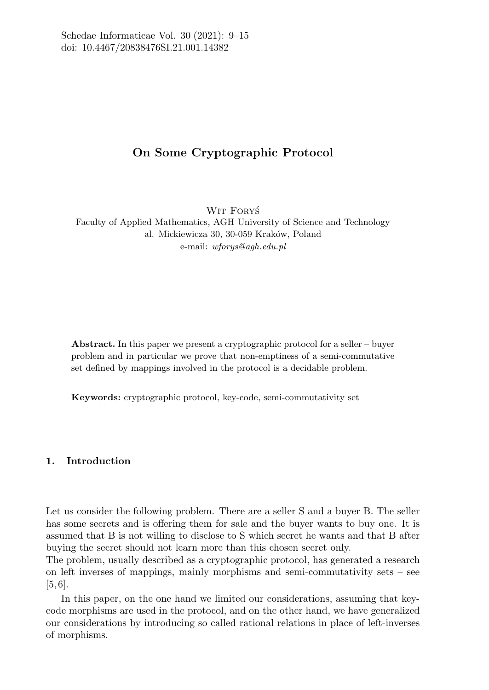# On Some Cryptographic Protocol

WIT FORYŚ Faculty of Applied Mathematics, AGH University of Science and Technology al. Mickiewicza 30, 30-059 Kraków, Poland e-mail: wforys@agh.edu.pl

Abstract. In this paper we present a cryptographic protocol for a seller – buyer problem and in particular we prove that non-emptiness of a semi-commutative set defined by mappings involved in the protocol is a decidable problem.

Keywords: cryptographic protocol, key-code, semi-commutativity set

# 1. Introduction

Let us consider the following problem. There are a seller S and a buyer B. The seller has some secrets and is offering them for sale and the buyer wants to buy one. It is assumed that B is not willing to disclose to S which secret he wants and that B after buying the secret should not learn more than this chosen secret only.

The problem, usually described as a cryptographic protocol, has generated a research on left inverses of mappings, mainly morphisms and semi-commutativity sets – see [5, 6].

In this paper, on the one hand we limited our considerations, assuming that keycode morphisms are used in the protocol, and on the other hand, we have generalized our considerations by introducing so called rational relations in place of left-inverses of morphisms.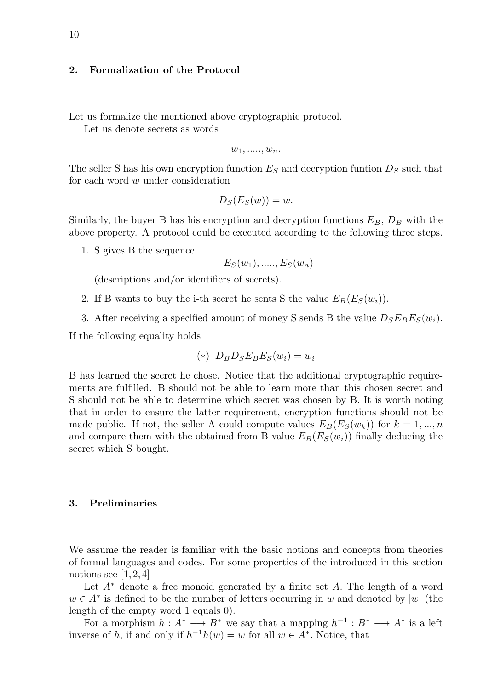### 2. Formalization of the Protocol

Let us formalize the mentioned above cryptographic protocol.

Let us denote secrets as words

$$
w_1, \ldots, w_n.
$$

The seller S has his own encryption function  $E<sub>S</sub>$  and decryption funtion  $D<sub>S</sub>$  such that for each word w under consideration

$$
D_S(E_S(w)) = w.
$$

Similarly, the buyer B has his encryption and decryption functions  $E_B$ ,  $D_B$  with the above property. A protocol could be executed according to the following three steps.

1. S gives B the sequence

$$
E_S(w_1), \ldots, E_S(w_n)
$$

(descriptions and/or identifiers of secrets).

- 2. If B wants to buy the i-th secret he sents S the value  $E_B(E_S(w_i))$ .
- 3. After receiving a specified amount of money S sends B the value  $D_S E_B E_S(w_i)$ .

If the following equality holds

$$
(*)\;\; D_B D_S E_B E_S(w_i) = w_i
$$

B has learned the secret he chose. Notice that the additional cryptographic requirements are fulfilled. B should not be able to learn more than this chosen secret and S should not be able to determine which secret was chosen by B. It is worth noting that in order to ensure the latter requirement, encryption functions should not be made public. If not, the seller A could compute values  $E_B(E_S(w_k))$  for  $k = 1, ..., n$ and compare them with the obtained from B value  $E_B(E_S(w_i))$  finally deducing the secret which S bought.

#### 3. Preliminaries

We assume the reader is familiar with the basic notions and concepts from theories of formal languages and codes. For some properties of the introduced in this section notions see  $[1, 2, 4]$ 

Let  $A^*$  denote a free monoid generated by a finite set A. The length of a word  $w \in A^*$  is defined to be the number of letters occurring in w and denoted by |w| (the length of the empty word 1 equals 0).

For a morphism  $h: A^* \longrightarrow B^*$  we say that a mapping  $h^{-1}: B^* \longrightarrow A^*$  is a left inverse of h, if and only if  $h^{-1}h(w) = w$  for all  $w \in A^*$ . Notice, that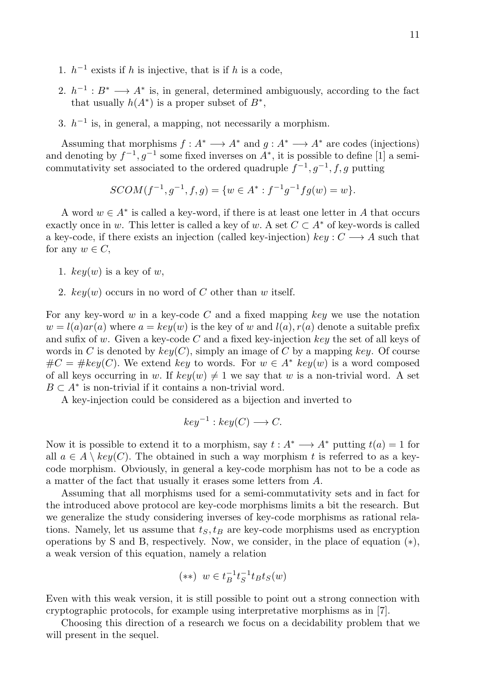- 1.  $h^{-1}$  exists if h is injective, that is if h is a code,
- 2.  $h^{-1}: B^* \longrightarrow A^*$  is, in general, determined ambiguously, according to the fact that usually  $h(A^*)$  is a proper subset of  $B^*$ ,
- 3.  $h^{-1}$  is, in general, a mapping, not necessarily a morphism.

Assuming that morphisms  $f: A^* \longrightarrow A^*$  and  $q: A^* \longrightarrow A^*$  are codes (injections) and denoting by  $f^{-1}, g^{-1}$  some fixed inverses on  $A^*$ , it is possible to define [1] a semicommutativity set associated to the ordered quadruple  $f^{-1}, g^{-1}, f, g$  putting

$$
SCOM(f^{-1}, g^{-1}, f, g) = \{w \in A^* : f^{-1}g^{-1}fg(w) = w\}.
$$

A word  $w \in A^*$  is called a key-word, if there is at least one letter in A that occurs exactly once in w. This letter is called a key of w. A set  $C \subset A^*$  of key-words is called a key-code, if there exists an injection (called key-injection)  $keu: C \longrightarrow A$  such that for any  $w \in C$ ,

- 1.  $key(w)$  is a key of w,
- 2.  $key(w)$  occurs in no word of C other than w itself.

For any key-word w in a key-code C and a fixed mapping key we use the notation  $w = l(a)ar(a)$  where  $a = key(w)$  is the key of w and  $l(a), r(a)$  denote a suitable prefix and sufix of w. Given a key-code  $C$  and a fixed key-injection key the set of all keys of words in C is denoted by  $key(C)$ , simply an image of C by a mapping key. Of course  $\#C = \#key(C)$ . We extend key to words. For  $w \in A^*$  key(w) is a word composed of all keys occurring in w. If  $key(w) \neq 1$  we say that w is a non-trivial word. A set  $B \subset A^*$  is non-trivial if it contains a non-trivial word.

A key-injection could be considered as a bijection and inverted to

$$
key^{-1}: key(C) \longrightarrow C.
$$

Now it is possible to extend it to a morphism, say  $t: A^* \longrightarrow A^*$  putting  $t(a) = 1$  for all  $a \in A \setminus \text{key}(C)$ . The obtained in such a way morphism t is referred to as a keycode morphism. Obviously, in general a key-code morphism has not to be a code as a matter of the fact that usually it erases some letters from A.

Assuming that all morphisms used for a semi-commutativity sets and in fact for the introduced above protocol are key-code morphisms limits a bit the research. But we generalize the study considering inverses of key-code morphisms as rational relations. Namely, let us assume that  $t<sub>S</sub>, t<sub>B</sub>$  are key-code morphisms used as encryption operations by S and B, respectively. Now, we consider, in the place of equation  $(*),$ a weak version of this equation, namely a relation

$$
(**) w \in t_B^{-1} t_S^{-1} t_B t_S(w)
$$

Even with this weak version, it is still possible to point out a strong connection with cryptographic protocols, for example using interpretative morphisms as in [7].

Choosing this direction of a research we focus on a decidability problem that we will present in the sequel.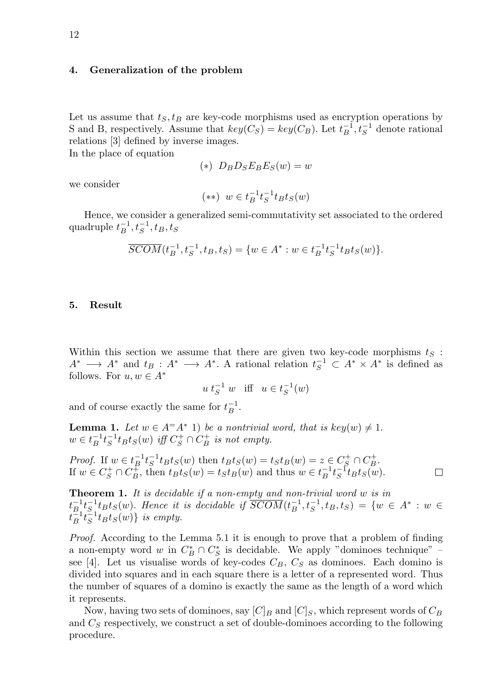## 4. Generalization of the problem

Let us assume that  $t<sub>S</sub>, t<sub>B</sub>$  are key-code morphisms used as encryption operations by S and B, respectively. Assume that  $key(C_S) = key(C_B)$ . Let  $t_B^{-1}, t_S^{-1}$  denote rational relations [3] defined by inverse images. In the place of equation

 $(*)$   $D_B D_S E_B E_S(w) = w$ 

we consider

$$
(**) w \in t_B^{-1} t_S^{-1} t_B t_S(w)
$$

Hence, we consider a generalized semi-commutativity set associated to the ordered quadruple  $t_B^{-1}, t_S^{-1}, t_B, t_S$ 

$$
\overline{SCOM}(t_B^{-1}, t_S^{-1}, t_B, t_S) = \{ w \in A^* : w \in t_B^{-1}t_S^{-1}t_Bt_S(w) \}.
$$

#### 5. Result

Within this section we assume that there are given two key-code morphisms  $t<sub>S</sub>$ :  $A^* \longrightarrow A^*$  and  $t_B: A^* \longrightarrow A^*$ . A rational relation  $t_S^{-1} \subset A^* \times A^*$  is defined as follows. For  $u, w \in A^*$ 

$$
u t_S^{-1} w \quad \text{iff} \quad u \in t_S^{-1}(w)
$$

and of course exactly the same for  $t_B^{-1}$ .

**Lemma 1.** Let  $w \in A^{\dagger}A^*$  1) be a nontrivial word, that is key(w)  $\neq 1$ .  $w \in t_B^{-1} t_S^{-1} t_B t_S(w)$  iff  $C_S^+ \cap C_B^+$  is not empty.

*Proof.* If 
$$
w \in t_B^{-1} t_S^{-1} t_B t_S(w)
$$
 then  $t_B t_S(w) = t_S t_B(w) = z \in C_S^+ \cap C_B^+$ .  
If  $w \in C_S^+ \cap C_B^+$ , then  $t_B t_S(w) = t_S t_B(w)$  and thus  $w \in t_B^{-1} t_S^{-1} t_B t_S(w)$ .

Theorem 1. It is decidable if a non-empty and non-trivial word w is in  $t_{B_1}^{-1}t_{B_1}^{-1}t_{B_1}t_S(w)$ . Hence it is decidable if  $\overline{SCOM}(t_{B}^{-1}, t_{S}^{-1}, t_B, t_S) = \{w \in A^* : w \in A, w \in A\}$  $t_B^{-1} t_B^{-1} t_B t_S(w) \}$  is empty.

Proof. According to the Lemma 5.1 it is enough to prove that a problem of finding a non-empty word  $w$  in  $C^*_B \cap C^*_S$  is decidable. We apply "dominoes technique" – see [4]. Let us visualise words of key-codes  $C_B$ ,  $C_S$  as dominoes. Each domino is divided into squares and in each square there is a letter of a represented word. Thus the number of squares of a domino is exactly the same as the length of a word which it represents.

Now, having two sets of dominoes, say  $[C]_B$  and  $[C]_S$ , which represent words of  $C_B$ and  $C_S$  respectively, we construct a set of double-dominoes according to the following procedure.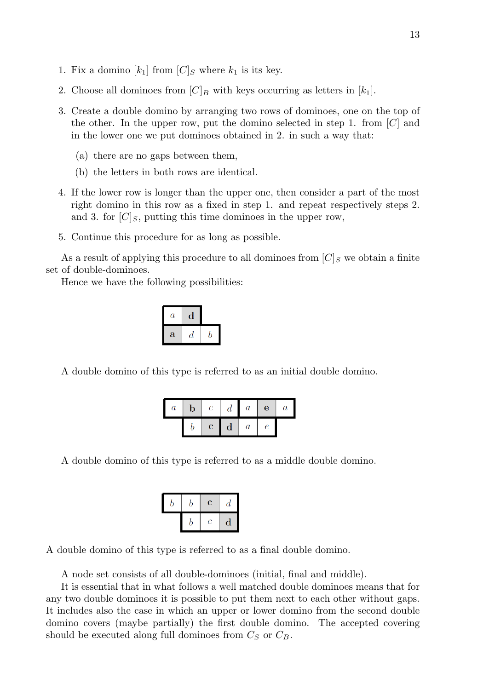- 1. Fix a domino  $[k_1]$  from  $[C]_S$  where  $k_1$  is its key.
- 2. Choose all dominoes from  $[C]_B$  with keys occurring as letters in  $[k_1]$ .
- 3. Create a double domino by arranging two rows of dominoes, one on the top of the other. In the upper row, put the domino selected in step 1. from  $[C]$  and in the lower one we put dominoes obtained in 2. in such a way that:
	- (a) there are no gaps between them,
	- (b) the letters in both rows are identical.
- 4. If the lower row is longer than the upper one, then consider a part of the most right domino in this row as a fixed in step 1. and repeat respectively steps 2. and 3. for  $[C]_S$ , putting this time dominoes in the upper row,
- 5. Continue this procedure for as long as possible.

As a result of applying this procedure to all dominoes from  $[C]_S$  we obtain a finite set of double-dominoes.

Hence we have the following possibilities:

| $\it a$ |   |  |
|---------|---|--|
| a       | а |  |

A double domino of this type is referred to as an initial double domino.

| $\it a$ | $\mathbf b$ | $\mathcal{C}$ | $\overline{d}$ | $\boldsymbol{a}$ | $\mathbf{e}$     | $\boldsymbol{a}$ |
|---------|-------------|---------------|----------------|------------------|------------------|------------------|
|         |             | $\mathbf{c}$  | $\mathbf d$    | $\boldsymbol{a}$ | $\boldsymbol{e}$ |                  |

A double domino of this type is referred to as a middle double domino.

| o | b | $\overline{\mathbf{c}}$ | $\boldsymbol{d}$ |
|---|---|-------------------------|------------------|
|   | D | $\overline{c}$          | d                |

A double domino of this type is referred to as a final double domino.

A node set consists of all double-dominoes (initial, final and middle).

It is essential that in what follows a well matched double dominoes means that for any two double dominoes it is possible to put them next to each other without gaps. It includes also the case in which an upper or lower domino from the second double domino covers (maybe partially) the first double domino. The accepted covering should be executed along full dominoes from  $C_S$  or  $C_B$ .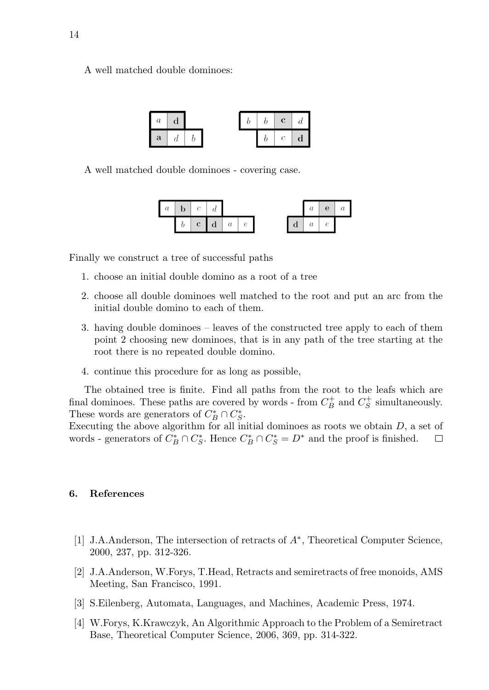A well matched double dominoes:

| а | a |  |  | $\mathbf{c}$ |  |
|---|---|--|--|--------------|--|
| a |   |  |  |              |  |

A well matched double dominoes - covering case.



Finally we construct a tree of successful paths

- 1. choose an initial double domino as a root of a tree
- 2. choose all double dominoes well matched to the root and put an arc from the initial double domino to each of them.
- 3. having double dominoes leaves of the constructed tree apply to each of them point 2 choosing new dominoes, that is in any path of the tree starting at the root there is no repeated double domino.
- 4. continue this procedure for as long as possible,

The obtained tree is finite. Find all paths from the root to the leafs which are final dominoes. These paths are covered by words - from  $C_B^+$  and  $C_S^+$  simultaneously. These words are generators of  $C_B^* \cap C_S^*$ .

Executing the above algorithm for all initial dominoes as roots we obtain  $D$ , a set of words - generators of  $C_B^* \cap C_S^*$ . Hence  $C_B^* \cap C_S^* = D^*$  and the proof is finished.  $\Box$ 

#### 6. References

- [1] J.A.Anderson, The intersection of retracts of  $A^*$ , Theoretical Computer Science, 2000, 237, pp. 312-326.
- [2] J.A.Anderson, W.Forys, T.Head, Retracts and semiretracts of free monoids, AMS Meeting, San Francisco, 1991.
- [3] S.Eilenberg, Automata, Languages, and Machines, Academic Press, 1974.
- [4] W.Forys, K.Krawczyk, An Algorithmic Approach to the Problem of a Semiretract Base, Theoretical Computer Science, 2006, 369, pp. 314-322.